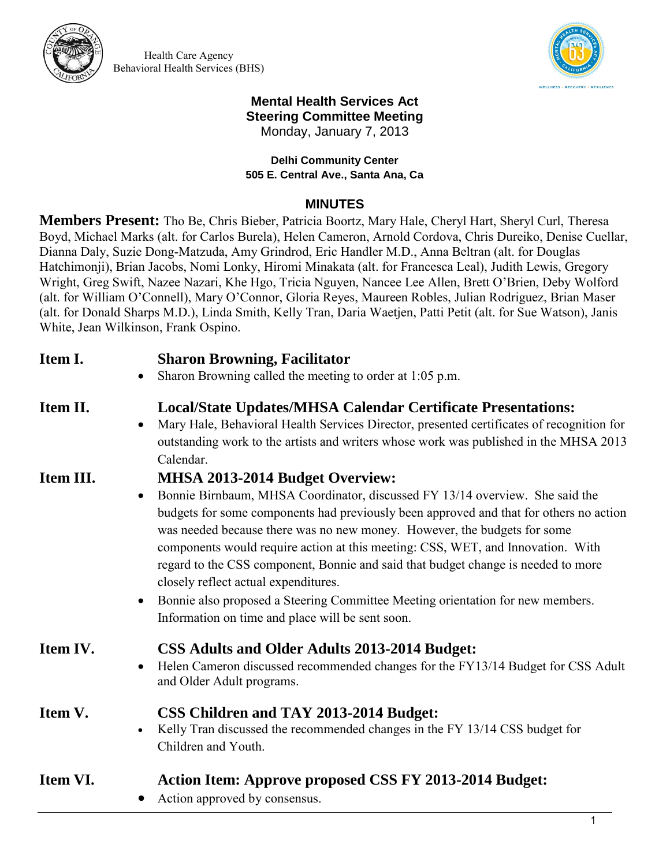

Health Care Agency Behavioral Health Services (BHS)



#### **Mental Health Services Act Steering Committee Meeting**  Monday, January 7, 2013

**Delhi Community Center 505 E. Central Ave., Santa Ana, Ca** 

#### **MINUTES**

**Members Present:** Tho Be, Chris Bieber, Patricia Boortz, Mary Hale, Cheryl Hart, Sheryl Curl, Theresa Boyd, Michael Marks (alt. for Carlos Burela), Helen Cameron, Arnold Cordova, Chris Dureiko, Denise Cuellar, Dianna Daly, Suzie Dong-Matzuda, Amy Grindrod, Eric Handler M.D., Anna Beltran (alt. for Douglas Hatchimonji), Brian Jacobs, Nomi Lonky, Hiromi Minakata (alt. for Francesca Leal), Judith Lewis, Gregory Wright, Greg Swift, Nazee Nazari, Khe Hgo, Tricia Nguyen, Nancee Lee Allen, Brett O'Brien, Deby Wolford (alt. for William O'Connell), Mary O'Connor, Gloria Reyes, Maureen Robles, Julian Rodriguez, Brian Maser (alt. for Donald Sharps M.D.), Linda Smith, Kelly Tran, Daria Waetjen, Patti Petit (alt. for Sue Watson), Janis White, Jean Wilkinson, Frank Ospino.

| Item I.   | <b>Sharon Browning, Facilitator</b><br>Sharon Browning called the meeting to order at 1:05 p.m.<br>$\bullet$                                                                                                                                                                                                                                                                                                                                                                                                                                                                                                                                                          |
|-----------|-----------------------------------------------------------------------------------------------------------------------------------------------------------------------------------------------------------------------------------------------------------------------------------------------------------------------------------------------------------------------------------------------------------------------------------------------------------------------------------------------------------------------------------------------------------------------------------------------------------------------------------------------------------------------|
| Item II.  | <b>Local/State Updates/MHSA Calendar Certificate Presentations:</b><br>Mary Hale, Behavioral Health Services Director, presented certificates of recognition for<br>$\bullet$<br>outstanding work to the artists and writers whose work was published in the MHSA 2013<br>Calendar.                                                                                                                                                                                                                                                                                                                                                                                   |
| Item III. | MHSA 2013-2014 Budget Overview:<br>Bonnie Birnbaum, MHSA Coordinator, discussed FY 13/14 overview. She said the<br>$\bullet$<br>budgets for some components had previously been approved and that for others no action<br>was needed because there was no new money. However, the budgets for some<br>components would require action at this meeting: CSS, WET, and Innovation. With<br>regard to the CSS component, Bonnie and said that budget change is needed to more<br>closely reflect actual expenditures.<br>Bonnie also proposed a Steering Committee Meeting orientation for new members.<br>$\bullet$<br>Information on time and place will be sent soon. |
| Item IV.  | <b>CSS Adults and Older Adults 2013-2014 Budget:</b><br>Helen Cameron discussed recommended changes for the FY13/14 Budget for CSS Adult<br>$\bullet$<br>and Older Adult programs.                                                                                                                                                                                                                                                                                                                                                                                                                                                                                    |
| Item V.   | <b>CSS Children and TAY 2013-2014 Budget:</b><br>Kelly Tran discussed the recommended changes in the FY 13/14 CSS budget for<br>$\bullet$<br>Children and Youth.                                                                                                                                                                                                                                                                                                                                                                                                                                                                                                      |
| Item VI.  | <b>Action Item: Approve proposed CSS FY 2013-2014 Budget:</b><br>Action approved by consensus.<br>$\bullet$                                                                                                                                                                                                                                                                                                                                                                                                                                                                                                                                                           |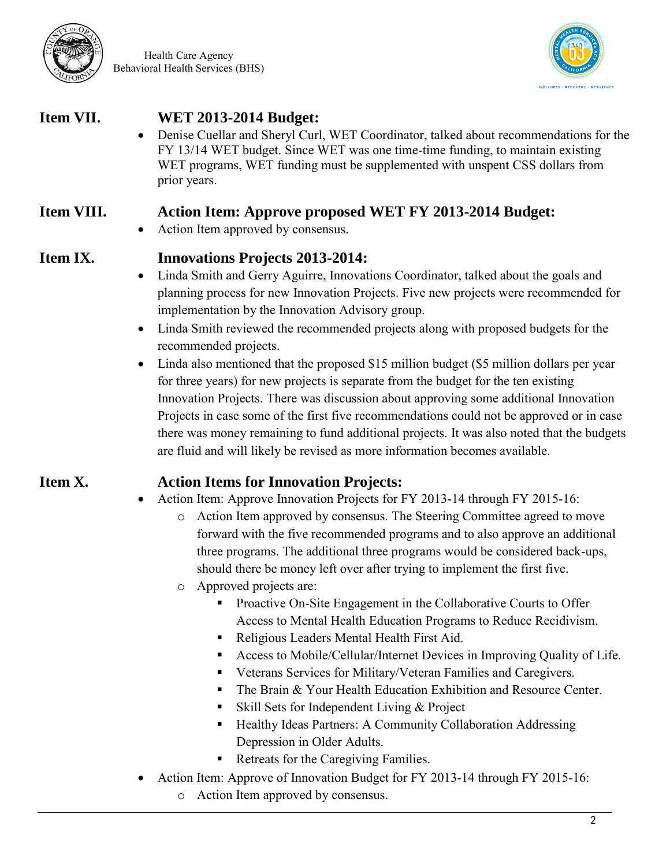

Health Care Agency Behavioral Health Services (BHS)



### **Item VII. WET 2013-2014 Budget:**

 Denise Cuellar and Sheryl Curl, WET Coordinator, talked about recommendations for the FY 13/14 WET budget. Since WET was one time-time funding, to maintain existing WET programs, WET funding must be supplemented with unspent CSS dollars from prior years.

### **Item VIII. Action Item: Approve proposed WET FY 2013-2014 Budget:**

• Action Item approved by consensus.

### **Item IX. Innovations Projects 2013-2014:**

- Linda Smith and Gerry Aguirre, Innovations Coordinator, talked about the goals and planning process for new Innovation Projects. Five new projects were recommended for implementation by the Innovation Advisory group.
- Linda Smith reviewed the recommended projects along with proposed budgets for the recommended projects.
- Linda also mentioned that the proposed \$15 million budget (\$5 million dollars per year for three years) for new projects is separate from the budget for the ten existing Innovation Projects. There was discussion about approving some additional Innovation Projects in case some of the first five recommendations could not be approved or in case there was money remaining to fund additional projects. It was also noted that the budgets are fluid and will likely be revised as more information becomes available.

## **Item X. Action Items for Innovation Projects:**

- Action Item: Approve Innovation Projects for FY 2013-14 through FY 2015-16:
	- o Action Item approved by consensus. The Steering Committee agreed to move forward with the five recommended programs and to also approve an additional three programs. The additional three programs would be considered back-ups, should there be money left over after trying to implement the first five.
	- o Approved projects are:
		- **Proactive On-Site Engagement in the Collaborative Courts to Offer** Access to Mental Health Education Programs to Reduce Recidivism.
		- Religious Leaders Mental Health First Aid.
		- Access to Mobile/Cellular/Internet Devices in Improving Quality of Life.
		- Veterans Services for Military/Veteran Families and Caregivers.
		- The Brain & Your Health Education Exhibition and Resource Center.
		- Skill Sets for Independent Living & Project
		- Healthy Ideas Partners: A Community Collaboration Addressing Depression in Older Adults.
		- Retreats for the Caregiving Families.
- Action Item: Approve of Innovation Budget for FY 2013-14 through FY 2015-16:
	- o Action Item approved by consensus.